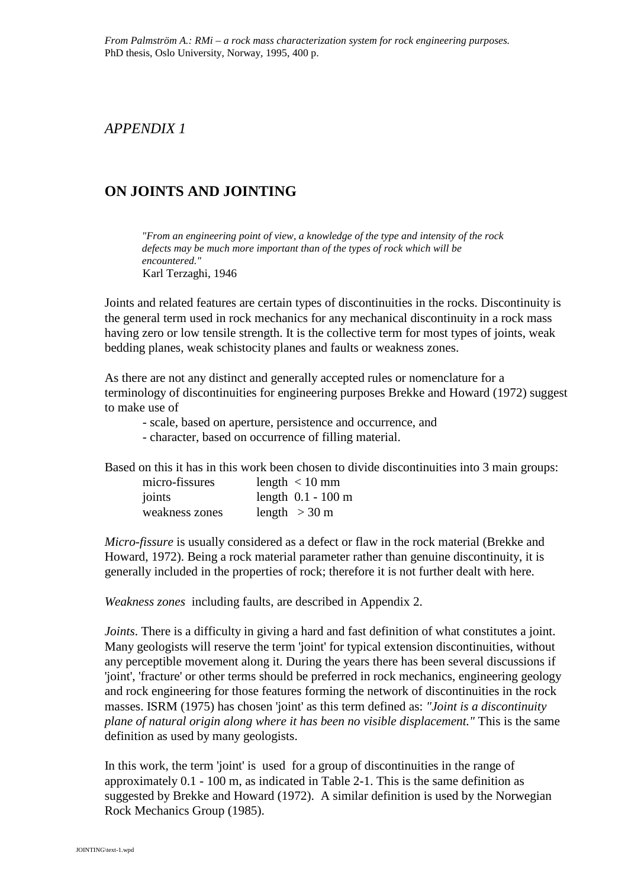# *APPENDIX 1*

# **ON JOINTS AND JOINTING**

*"From an engineering point of view, a knowledge of the type and intensity of the rock defects may be much more important than of the types of rock which will be encountered."* Karl Terzaghi, 1946

Joints and related features are certain types of discontinuities in the rocks. Discontinuity is the general term used in rock mechanics for any mechanical discontinuity in a rock mass having zero or low tensile strength. It is the collective term for most types of joints, weak bedding planes, weak schistocity planes and faults or weakness zones.

As there are not any distinct and generally accepted rules or nomenclature for a terminology of discontinuities for engineering purposes Brekke and Howard (1972) suggest to make use of

- scale, based on aperture, persistence and occurrence, and

- character, based on occurrence of filling material.

Based on this it has in this work been chosen to divide discontinuities into 3 main groups:

| micro-fissures | length $< 10$ mm     |
|----------------|----------------------|
| joints         | length $0.1 - 100$ m |
| weakness zones | length $>$ 30 m      |

*Micro-fissure* is usually considered as a defect or flaw in the rock material (Brekke and Howard, 1972). Being a rock material parameter rather than genuine discontinuity, it is generally included in the properties of rock; therefore it is not further dealt with here.

*Weakness zones* including faults, are described in Appendix 2.

*Joints*. There is a difficulty in giving a hard and fast definition of what constitutes a joint. Many geologists will reserve the term 'joint' for typical extension discontinuities, without any perceptible movement along it. During the years there has been several discussions if 'joint', 'fracture' or other terms should be preferred in rock mechanics, engineering geology and rock engineering for those features forming the network of discontinuities in the rock masses. ISRM (1975) has chosen 'joint' as this term defined as: *"Joint is a discontinuity plane of natural origin along where it has been no visible displacement."* This is the same definition as used by many geologists.

In this work, the term 'joint' is used for a group of discontinuities in the range of approximately 0.1 - 100 m, as indicated in Table 2-1. This is the same definition as suggested by Brekke and Howard (1972). A similar definition is used by the Norwegian Rock Mechanics Group (1985).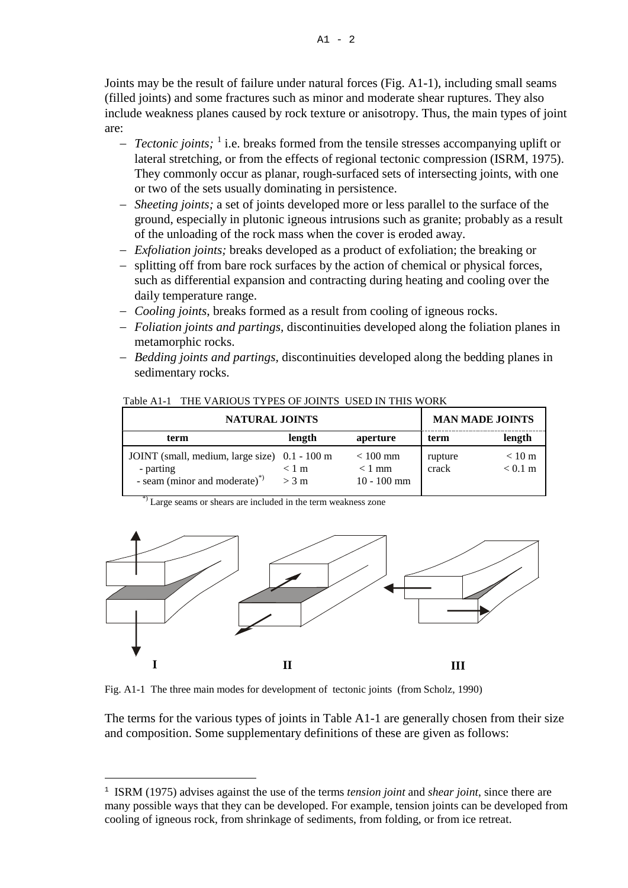Joints may be the result of failure under natural forces (Fig. A1-1), including small seams (filled joints) and some fractures such as minor and moderate shear ruptures. They also include weakness planes caused by rock texture or anisotropy. Thus, the main types of joint are:

- − *Tectonic joints;* [1](#page-1-0) i.e. breaks formed from the tensile stresses accompanying uplift or lateral stretching, or from the effects of regional tectonic compression (ISRM, 1975). They commonly occur as planar, rough-surfaced sets of intersecting joints, with one or two of the sets usually dominating in persistence.
- − *Sheeting joints;* a set of joints developed more or less parallel to the surface of the ground, especially in plutonic igneous intrusions such as granite; probably as a result of the unloading of the rock mass when the cover is eroded away.
- − *Exfoliation joints;* breaks developed as a product of exfoliation; the breaking or
- − splitting off from bare rock surfaces by the action of chemical or physical forces, such as differential expansion and contracting during heating and cooling over the daily temperature range.
- − *Cooling joints*, breaks formed as a result from cooling of igneous rocks.
- − *Foliation joints and partings,* discontinuities developed along the foliation planes in metamorphic rocks.
- − *Bedding joints and partings,* discontinuities developed along the bedding planes in sedimentary rocks.

| <b>MAN MADE JOINTS</b><br><b>NATURAL JOINTS</b>                                                    |                    |                                         |                  |                                       |
|----------------------------------------------------------------------------------------------------|--------------------|-----------------------------------------|------------------|---------------------------------------|
| term                                                                                               | length             | aperture                                | term             | length                                |
| JOINT (small, medium, large size) 0.1 - 100 m<br>- parting<br>- seam (minor and moderate) $^{(*)}$ | $< 1$ m<br>$>$ 3 m | $< 100$ mm<br>$< 1$ mm<br>$10 - 100$ mm | rupture<br>crack | $< 10 \text{ m}$<br>$< 0.1 \text{ m}$ |

Table A1-1 THE VARIOUS TYPES OF JOINTS USED IN THIS WORK

 $^{\circ}$  Large seams or shears are included in the term weakness zone



Fig. A1-1 The three main modes for development of tectonic joints (from Scholz, 1990)

The terms for the various types of joints in Table A1-1 are generally chosen from their size and composition. Some supplementary definitions of these are given as follows:

<span id="page-1-0"></span> 1 ISRM (1975) advises against the use of the terms *tension joint* and *shear joint*, since there are many possible ways that they can be developed. For example, tension joints can be developed from cooling of igneous rock, from shrinkage of sediments, from folding, or from ice retreat.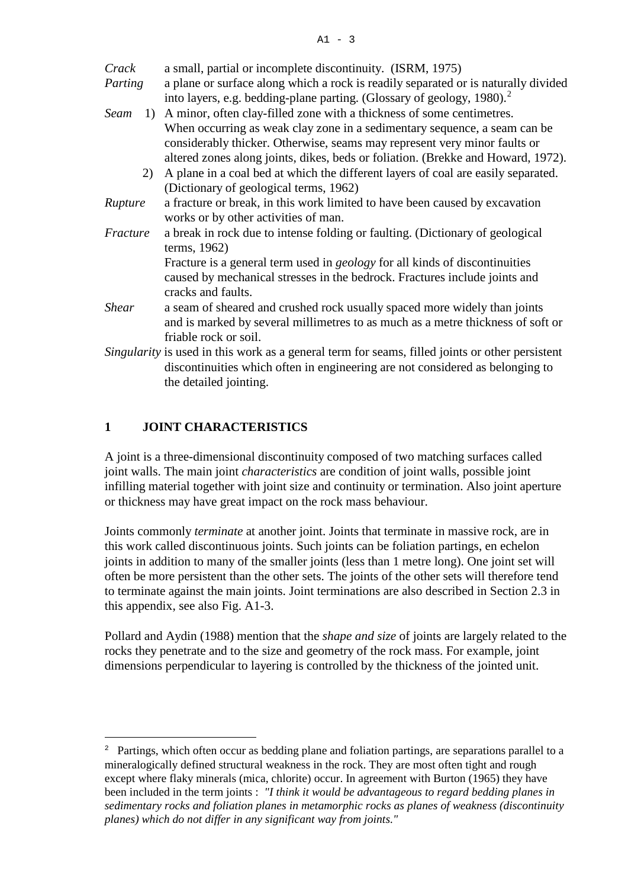$A1 - 3$ 

| Crack        | a small, partial or incomplete discontinuity. (ISRM, 1975)                                                                                                                             |
|--------------|----------------------------------------------------------------------------------------------------------------------------------------------------------------------------------------|
| Parting      | a plane or surface along which a rock is readily separated or is naturally divided<br>into layers, e.g. bedding-plane parting. (Glossary of geology, 1980). <sup>2</sup>               |
| Seam         | 1) A minor, often clay-filled zone with a thickness of some centimetres.                                                                                                               |
|              | When occurring as weak clay zone in a sedimentary sequence, a seam can be<br>considerably thicker. Otherwise, seams may represent very minor faults or                                 |
|              | altered zones along joints, dikes, beds or foliation. (Brekke and Howard, 1972).                                                                                                       |
| 2)           | A plane in a coal bed at which the different layers of coal are easily separated.<br>(Dictionary of geological terms, 1962)                                                            |
| Rupture      | a fracture or break, in this work limited to have been caused by excavation                                                                                                            |
|              | works or by other activities of man.                                                                                                                                                   |
| Fracture     | a break in rock due to intense folding or faulting. (Dictionary of geological<br>terms, 1962)                                                                                          |
|              | Fracture is a general term used in <i>geology</i> for all kinds of discontinuities<br>caused by mechanical stresses in the bedrock. Fractures include joints and<br>cracks and faults. |
| <b>Shear</b> | a seam of sheared and crushed rock usually spaced more widely than joints<br>and is marked by several millimetres to as much as a metre thickness of soft or<br>friable rock or soil.  |
|              | Singularity is used in this work as a general term for seams, filled joints or other persistent                                                                                        |
|              | discontinuities which often in engineering are not considered as belonging to                                                                                                          |

the detailed jointing.

### **1 JOINT CHARACTERISTICS**

A joint is a three-dimensional discontinuity composed of two matching surfaces called joint walls. The main joint *characteristics* are condition of joint walls, possible joint infilling material together with joint size and continuity or termination. Also joint aperture or thickness may have great impact on the rock mass behaviour.

Joints commonly *terminate* at another joint. Joints that terminate in massive rock, are in this work called discontinuous joints. Such joints can be foliation partings, en echelon joints in addition to many of the smaller joints (less than 1 metre long). One joint set will often be more persistent than the other sets. The joints of the other sets will therefore tend to terminate against the main joints. Joint terminations are also described in Section 2.3 in this appendix, see also Fig. A1-3.

Pollard and Aydin (1988) mention that the *shape and size* of joints are largely related to the rocks they penetrate and to the size and geometry of the rock mass. For example, joint dimensions perpendicular to layering is controlled by the thickness of the jointed unit.

<span id="page-2-0"></span><sup>&</sup>lt;sup>2</sup> Partings, which often occur as bedding plane and foliation partings, are separations parallel to a mineralogically defined structural weakness in the rock. They are most often tight and rough except where flaky minerals (mica, chlorite) occur. In agreement with Burton (1965) they have been included in the term joints : *"I think it would be advantageous to regard bedding planes in sedimentary rocks and foliation planes in metamorphic rocks as planes of weakness (discontinuity planes) which do not differ in any significant way from joints."*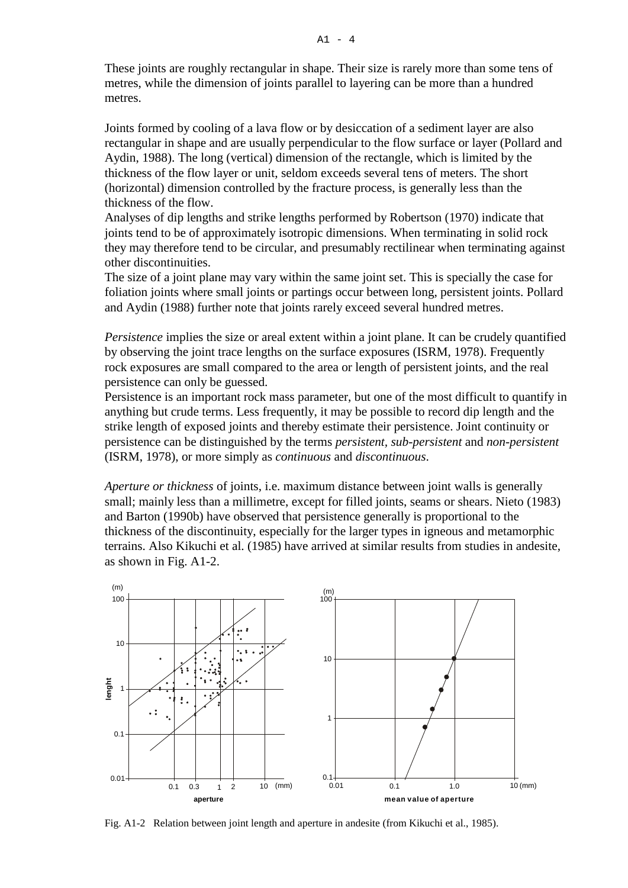These joints are roughly rectangular in shape. Their size is rarely more than some tens of metres, while the dimension of joints parallel to layering can be more than a hundred metres.

Joints formed by cooling of a lava flow or by desiccation of a sediment layer are also rectangular in shape and are usually perpendicular to the flow surface or layer (Pollard and Aydin, 1988). The long (vertical) dimension of the rectangle, which is limited by the thickness of the flow layer or unit, seldom exceeds several tens of meters. The short (horizontal) dimension controlled by the fracture process, is generally less than the thickness of the flow.

Analyses of dip lengths and strike lengths performed by Robertson (1970) indicate that joints tend to be of approximately isotropic dimensions. When terminating in solid rock they may therefore tend to be circular, and presumably rectilinear when terminating against other discontinuities.

The size of a joint plane may vary within the same joint set. This is specially the case for foliation joints where small joints or partings occur between long, persistent joints. Pollard and Aydin (1988) further note that joints rarely exceed several hundred metres.

*Persistence* implies the size or areal extent within a joint plane. It can be crudely quantified by observing the joint trace lengths on the surface exposures (ISRM, 1978). Frequently rock exposures are small compared to the area or length of persistent joints, and the real persistence can only be guessed.

Persistence is an important rock mass parameter, but one of the most difficult to quantify in anything but crude terms. Less frequently, it may be possible to record dip length and the strike length of exposed joints and thereby estimate their persistence. Joint continuity or persistence can be distinguished by the terms *persistent, sub-persistent* and *non-persistent*  (ISRM, 1978), or more simply as *continuous* and *discontinuous*.

*Aperture or thickness* of joints, i.e. maximum distance between joint walls is generally small; mainly less than a millimetre, except for filled joints, seams or shears. Nieto (1983) and Barton (1990b) have observed that persistence generally is proportional to the thickness of the discontinuity, especially for the larger types in igneous and metamorphic terrains. Also Kikuchi et al. (1985) have arrived at similar results from studies in andesite, as shown in Fig. A1-2.



Fig. A1-2 Relation between joint length and aperture in andesite (from Kikuchi et al., 1985).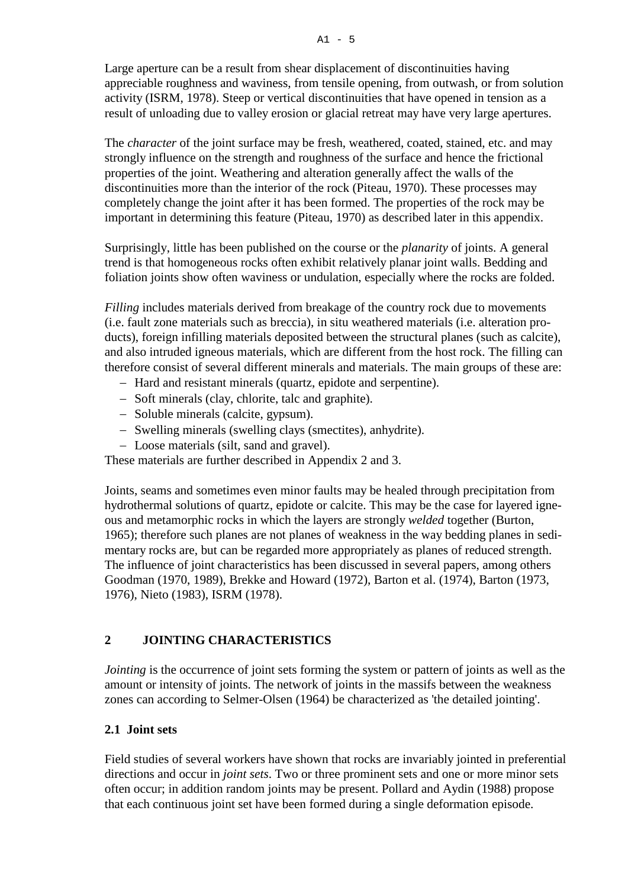Large aperture can be a result from shear displacement of discontinuities having appreciable roughness and waviness, from tensile opening, from outwash, or from solution activity (ISRM, 1978). Steep or vertical discontinuities that have opened in tension as a result of unloading due to valley erosion or glacial retreat may have very large apertures.

The *character* of the joint surface may be fresh, weathered, coated, stained, etc. and may strongly influence on the strength and roughness of the surface and hence the frictional properties of the joint. Weathering and alteration generally affect the walls of the discontinuities more than the interior of the rock (Piteau, 1970). These processes may completely change the joint after it has been formed. The properties of the rock may be important in determining this feature (Piteau, 1970) as described later in this appendix.

Surprisingly, little has been published on the course or the *planarity* of joints. A general trend is that homogeneous rocks often exhibit relatively planar joint walls. Bedding and foliation joints show often waviness or undulation, especially where the rocks are folded.

*Filling* includes materials derived from breakage of the country rock due to movements (i.e. fault zone materials such as breccia), in situ weathered materials (i.e. alteration products), foreign infilling materials deposited between the structural planes (such as calcite), and also intruded igneous materials, which are different from the host rock. The filling can therefore consist of several different minerals and materials. The main groups of these are:

- − Hard and resistant minerals (quartz, epidote and serpentine).
- − Soft minerals (clay, chlorite, talc and graphite).
- − Soluble minerals (calcite, gypsum).
- − Swelling minerals (swelling clays (smectites), anhydrite).
- − Loose materials (silt, sand and gravel).

These materials are further described in Appendix 2 and 3.

Joints, seams and sometimes even minor faults may be healed through precipitation from hydrothermal solutions of quartz, epidote or calcite. This may be the case for layered igneous and metamorphic rocks in which the layers are strongly *welded* together (Burton, 1965); therefore such planes are not planes of weakness in the way bedding planes in sedimentary rocks are, but can be regarded more appropriately as planes of reduced strength. The influence of joint characteristics has been discussed in several papers, among others Goodman (1970, 1989), Brekke and Howard (1972), Barton et al. (1974), Barton (1973, 1976), Nieto (1983), ISRM (1978).

## **2 JOINTING CHARACTERISTICS**

*Jointing* is the occurrence of joint sets forming the system or pattern of joints as well as the amount or intensity of joints. The network of joints in the massifs between the weakness zones can according to Selmer-Olsen (1964) be characterized as 'the detailed jointing'.

## **2.1 Joint sets**

Field studies of several workers have shown that rocks are invariably jointed in preferential directions and occur in *joint sets*. Two or three prominent sets and one or more minor sets often occur; in addition random joints may be present. Pollard and Aydin (1988) propose that each continuous joint set have been formed during a single deformation episode.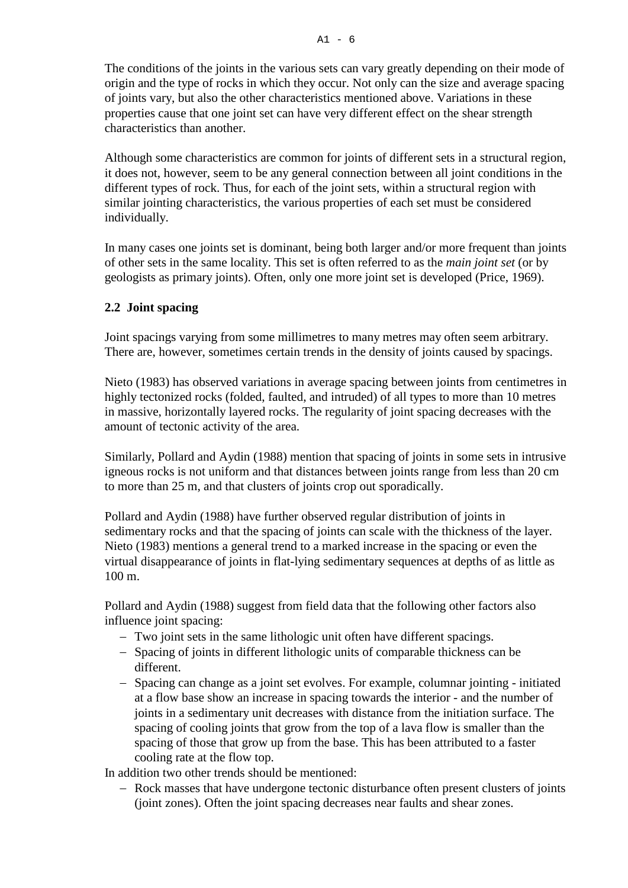The conditions of the joints in the various sets can vary greatly depending on their mode of origin and the type of rocks in which they occur. Not only can the size and average spacing of joints vary, but also the other characteristics mentioned above. Variations in these properties cause that one joint set can have very different effect on the shear strength characteristics than another.

Although some characteristics are common for joints of different sets in a structural region, it does not, however, seem to be any general connection between all joint conditions in the different types of rock. Thus, for each of the joint sets, within a structural region with similar jointing characteristics, the various properties of each set must be considered individually.

In many cases one joints set is dominant, being both larger and/or more frequent than joints of other sets in the same locality. This set is often referred to as the *main joint set* (or by geologists as primary joints). Often, only one more joint set is developed (Price, 1969).

### **2.2 Joint spacing**

Joint spacings varying from some millimetres to many metres may often seem arbitrary. There are, however, sometimes certain trends in the density of joints caused by spacings.

Nieto (1983) has observed variations in average spacing between joints from centimetres in highly tectonized rocks (folded, faulted, and intruded) of all types to more than 10 metres in massive, horizontally layered rocks. The regularity of joint spacing decreases with the amount of tectonic activity of the area.

Similarly, Pollard and Aydin (1988) mention that spacing of joints in some sets in intrusive igneous rocks is not uniform and that distances between joints range from less than 20 cm to more than 25 m, and that clusters of joints crop out sporadically.

Pollard and Aydin (1988) have further observed regular distribution of joints in sedimentary rocks and that the spacing of joints can scale with the thickness of the layer. Nieto (1983) mentions a general trend to a marked increase in the spacing or even the virtual disappearance of joints in flat-lying sedimentary sequences at depths of as little as 100 m.

Pollard and Aydin (1988) suggest from field data that the following other factors also influence joint spacing:

- − Two joint sets in the same lithologic unit often have different spacings.
- − Spacing of joints in different lithologic units of comparable thickness can be different.
- − Spacing can change as a joint set evolves. For example, columnar jointing initiated at a flow base show an increase in spacing towards the interior - and the number of joints in a sedimentary unit decreases with distance from the initiation surface. The spacing of cooling joints that grow from the top of a lava flow is smaller than the spacing of those that grow up from the base. This has been attributed to a faster cooling rate at the flow top.

In addition two other trends should be mentioned:

− Rock masses that have undergone tectonic disturbance often present clusters of joints (joint zones). Often the joint spacing decreases near faults and shear zones.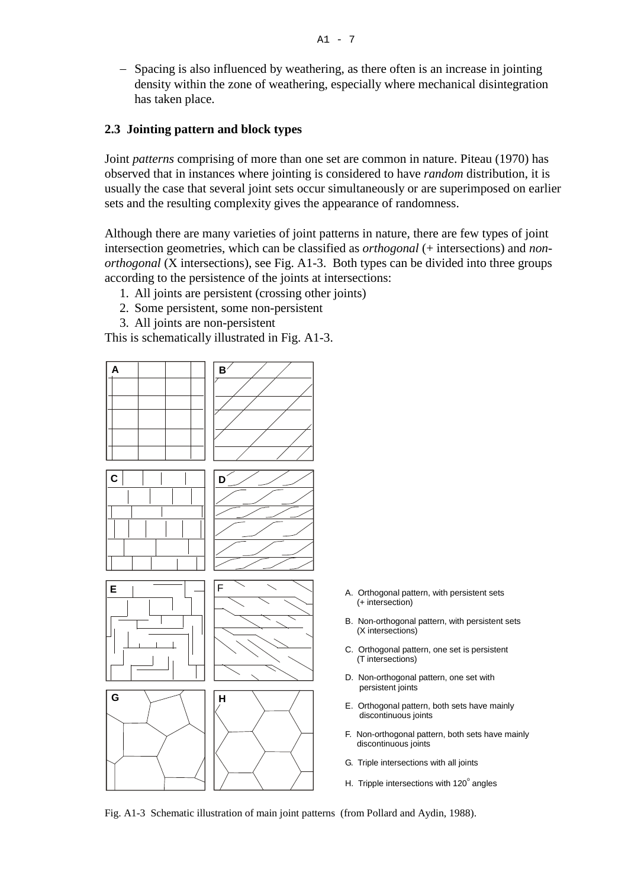− Spacing is also influenced by weathering, as there often is an increase in jointing density within the zone of weathering, especially where mechanical disintegration has taken place.

#### **2.3 Jointing pattern and block types**

Joint *patterns* comprising of more than one set are common in nature. Piteau (1970) has observed that in instances where jointing is considered to have *random* distribution, it is usually the case that several joint sets occur simultaneously or are superimposed on earlier sets and the resulting complexity gives the appearance of randomness.

Although there are many varieties of joint patterns in nature, there are few types of joint intersection geometries, which can be classified as *orthogonal* (+ intersections) and *nonorthogonal* (X intersections), see Fig. A1-3. Both types can be divided into three groups according to the persistence of the joints at intersections:

- 1. All joints are persistent (crossing other joints)
- 2. Some persistent, some non-persistent
- 3. All joints are non-persistent

This is schematically illustrated in Fig. A1-3.



- A. Orthogonal pattern, with persistent sets (+ intersection)
- B. Non-orthogonal pattern, with persistent sets (X intersections)
- C. Orthogonal pattern, one set is persistent (T intersections)
- D. Non-orthogonal pattern, one set with persistent joints
- E. Orthogonal pattern, both sets have mainly discontinuous joints
- F. Non-orthogonal pattern, both sets have mainly discontinuous joints
- G. Triple intersections with all joints
- H. Tripple intersections with 120° angles

Fig. A1-3 Schematic illustration of main joint patterns (from Pollard and Aydin, 1988).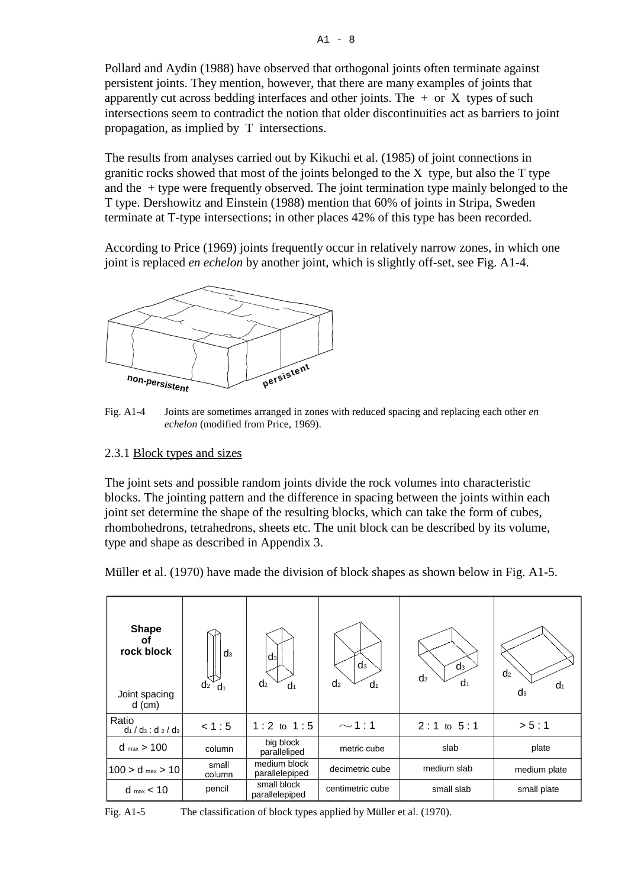Pollard and Aydin (1988) have observed that orthogonal joints often terminate against persistent joints. They mention, however, that there are many examples of joints that apparently cut across bedding interfaces and other joints. The  $+$  or X types of such intersections seem to contradict the notion that older discontinuities act as barriers to joint propagation, as implied by T intersections.

The results from analyses carried out by Kikuchi et al. (1985) of joint connections in granitic rocks showed that most of the joints belonged to the X type, but also the T type and the  $+$  type were frequently observed. The joint termination type mainly belonged to the T type. Dershowitz and Einstein (1988) mention that 60% of joints in Stripa, Sweden terminate at T-type intersections; in other places 42% of this type has been recorded.

According to Price (1969) joints frequently occur in relatively narrow zones, in which one joint is replaced *en echelon* by another joint, which is slightly off-set, see Fig. A1-4.



Fig. A1-4 Joints are sometimes arranged in zones with reduced spacing and replacing each other *en echelon* (modified from Price, 1969).

2.3.1 Block types and sizes

The joint sets and possible random joints divide the rock volumes into characteristic blocks. The jointing pattern and the difference in spacing between the joints within each joint set determine the shape of the resulting blocks, which can take the form of cubes, rhombohedrons, tetrahedrons, sheets etc. The unit block can be described by its volume, type and shape as described in Appendix 3.

Müller et al. (1970) have made the division of block shapes as shown below in Fig. A1-5.

| <b>Shape</b><br>οf<br>rock block<br>Joint spacing<br>$d$ (cm) | $d_3$<br>$d_2$ <sup>*</sup> $d_1$ | $d_3$<br>d <sub>2</sub><br>d <sub>1</sub> | d <sub>3</sub><br>d <sub>2</sub><br>d <sub>1</sub> | d <sub>3</sub><br>d <sub>2</sub><br>d <sub>1</sub> | d <sub>2</sub><br>d <sub>1</sub><br>$\mathsf{d}_3$ |
|---------------------------------------------------------------|-----------------------------------|-------------------------------------------|----------------------------------------------------|----------------------------------------------------|----------------------------------------------------|
| Ratio<br>$d_1/d_3$ : $d_2/d_3$                                | < 1:5                             | $1:2$ to $1:5$                            | $\sim$ 1 : 1                                       | $2:1$ to $5:1$                                     | > 5:1                                              |
| $d_{max}$ > 100                                               | column                            | big block<br>paralleliped                 | metric cube                                        | slab                                               | plate                                              |
| $100 > d$ max $> 10$                                          | small<br>column                   | medium block<br>parallelepiped            | decimetric cube                                    | medium slab                                        | medium plate                                       |
| $d_{max}$ < 10                                                | pencil                            | small block<br>parallelepiped             | centimetric cube                                   | small slab                                         | small plate                                        |

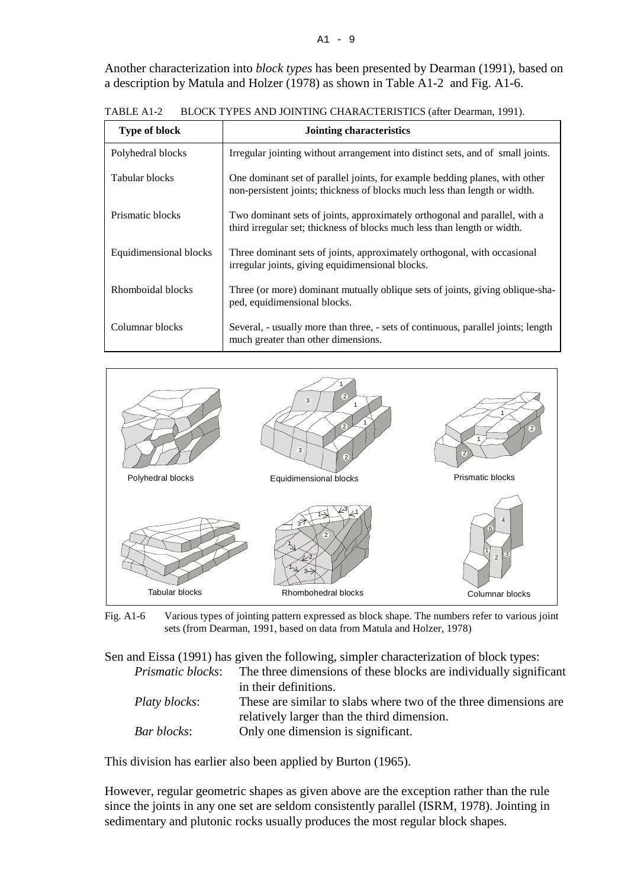Another characterization into *block types* has been presented by Dearman (1991), based on a description by Matula and Holzer (1978) as shown in Table A1-2 and Fig. A1-6.

|  | TABLE A1-2 BLOCK TYPES AND JOINTING CHARACTERISTICS (after Dearman, 1991). |  |
|--|----------------------------------------------------------------------------|--|
|--|----------------------------------------------------------------------------|--|

| <b>Type of block</b>   | <b>Jointing characteristics</b>                                                                                                                           |
|------------------------|-----------------------------------------------------------------------------------------------------------------------------------------------------------|
| Polyhedral blocks      | Irregular jointing without arrangement into distinct sets, and of small joints.                                                                           |
| Tabular blocks         | One dominant set of parallel joints, for example bedding planes, with other<br>non-persistent joints; thickness of blocks much less than length or width. |
| Prismatic blocks       | Two dominant sets of joints, approximately orthogonal and parallel, with a<br>third irregular set; thickness of blocks much less than length or width.    |
| Equidimensional blocks | Three dominant sets of joints, approximately orthogonal, with occasional<br>irregular joints, giving equidimensional blocks.                              |
| Rhomboidal blocks      | Three (or more) dominant mutually oblique sets of joints, giving oblique-sha-<br>ped, equidimensional blocks.                                             |
| Columnar blocks        | Several, - usually more than three, - sets of continuous, parallel joints; length<br>much greater than other dimensions.                                  |



Fig. A1-6 Various types of jointing pattern expressed as block shape. The numbers refer to various joint sets (from Dearman, 1991, based on data from Matula and Holzer, 1978)

Sen and Eissa (1991) has given the following, simpler characterization of block types:

| <i>Prismatic blocks:</i> | The three dimensions of these blocks are individually significant |
|--------------------------|-------------------------------------------------------------------|
|                          | in their definitions.                                             |
| Platy blocks:            | These are similar to slabs where two of the three dimensions are  |
|                          | relatively larger than the third dimension.                       |

This division has earlier also been applied by Burton (1965).

*Bar blocks*: Only one dimension is significant.

However, regular geometric shapes as given above are the exception rather than the rule since the joints in any one set are seldom consistently parallel (ISRM, 1978). Jointing in sedimentary and plutonic rocks usually produces the most regular block shapes.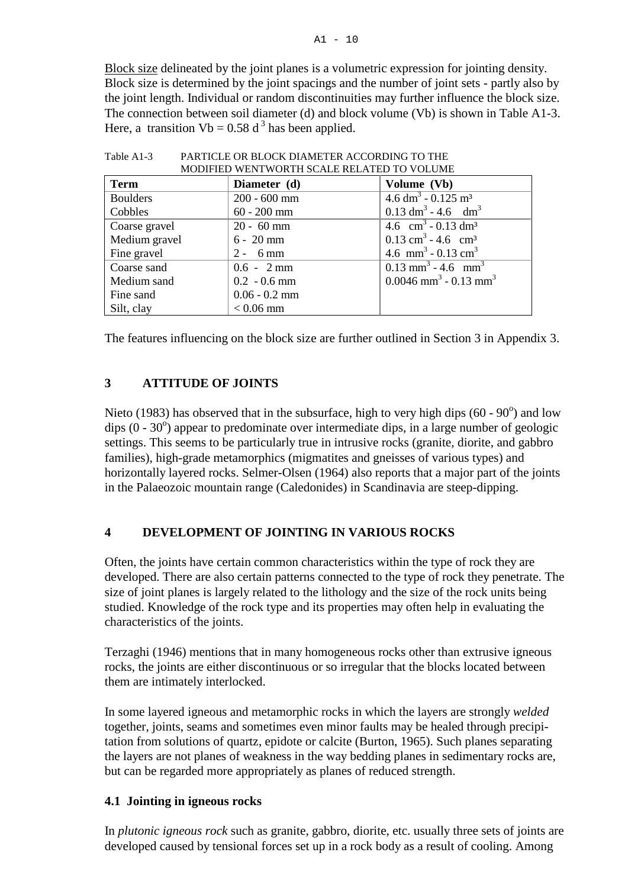Block size delineated by the joint planes is a volumetric expression for jointing density. Block size is determined by the joint spacings and the number of joint sets - partly also by the joint length. Individual or random discontinuities may further influence the block size. The connection between soil diameter (d) and block volume (Vb) is shown in Table A1-3. Here, a transition Vb =  $0.58$  d<sup>3</sup> has been applied.

| <b>Term</b>     | Diameter (d)         | Volume (Vb)                                     |
|-----------------|----------------------|-------------------------------------------------|
| <b>Boulders</b> | $200 - 600$ mm       | $4.6 \text{ dm}^3 - 0.125 \text{ m}^3$          |
| Cobbles         | $60 - 200$ mm        | $0.13 \text{ dm}^3 - 4.6 \text{ dm}^3$          |
| Coarse gravel   | $20 - 60$ mm         | 4.6 cm <sup>3</sup> - 0.13 dm <sup>3</sup>      |
| Medium gravel   | $6 - 20$ mm          | $0.13$ cm <sup>3</sup> - 4.6 cm <sup>3</sup>    |
| Fine gravel     | $2 - 6$ mm           | 4.6 mm <sup>3</sup> - 0.13 cm <sup>3</sup>      |
| Coarse sand     | $0.6 - 2 \text{ mm}$ | $0.13$ mm <sup>3</sup> - 4.6 mm <sup>3</sup>    |
| Medium sand     | $0.2 - 0.6$ mm       | $0.0046$ mm <sup>3</sup> - 0.13 mm <sup>3</sup> |
| Fine sand       | $0.06 - 0.2$ mm      |                                                 |
| Silt, clay      | $< 0.06$ mm          |                                                 |

| Table A1-3 | PARTICLE OR BLOCK DIAMETER ACCORDING TO THE |
|------------|---------------------------------------------|
|            | MODIFIED WENTWORTH SCALE RELATED TO VOLUME  |

The features influencing on the block size are further outlined in Section 3 in Appendix 3.

## **3 ATTITUDE OF JOINTS**

Nieto (1983) has observed that in the subsurface, high to very high dips  $(60 - 90^{\circ})$  and low dips  $(0 - 30^{\circ})$  appear to predominate over intermediate dips, in a large number of geologic settings. This seems to be particularly true in intrusive rocks (granite, diorite, and gabbro families), high-grade metamorphics (migmatites and gneisses of various types) and horizontally layered rocks. Selmer-Olsen (1964) also reports that a major part of the joints in the Palaeozoic mountain range (Caledonides) in Scandinavia are steep-dipping.

### **4 DEVELOPMENT OF JOINTING IN VARIOUS ROCKS**

Often, the joints have certain common characteristics within the type of rock they are developed. There are also certain patterns connected to the type of rock they penetrate. The size of joint planes is largely related to the lithology and the size of the rock units being studied. Knowledge of the rock type and its properties may often help in evaluating the characteristics of the joints.

Terzaghi (1946) mentions that in many homogeneous rocks other than extrusive igneous rocks, the joints are either discontinuous or so irregular that the blocks located between them are intimately interlocked.

In some layered igneous and metamorphic rocks in which the layers are strongly *welded* together, joints, seams and sometimes even minor faults may be healed through precipitation from solutions of quartz, epidote or calcite (Burton, 1965). Such planes separating the layers are not planes of weakness in the way bedding planes in sedimentary rocks are, but can be regarded more appropriately as planes of reduced strength.

### **4.1 Jointing in igneous rocks**

In *plutonic igneous rock* such as granite, gabbro, diorite, etc. usually three sets of joints are developed caused by tensional forces set up in a rock body as a result of cooling. Among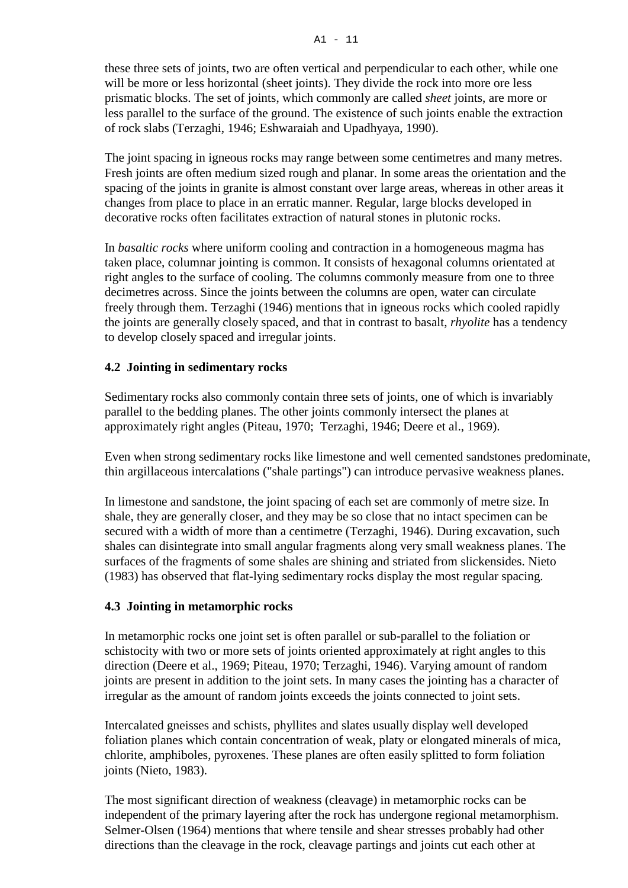these three sets of joints, two are often vertical and perpendicular to each other, while one will be more or less horizontal (sheet joints). They divide the rock into more ore less prismatic blocks. The set of joints, which commonly are called *sheet* joints, are more or less parallel to the surface of the ground. The existence of such joints enable the extraction of rock slabs (Terzaghi, 1946; Eshwaraiah and Upadhyaya, 1990).

The joint spacing in igneous rocks may range between some centimetres and many metres. Fresh joints are often medium sized rough and planar. In some areas the orientation and the spacing of the joints in granite is almost constant over large areas, whereas in other areas it changes from place to place in an erratic manner. Regular, large blocks developed in decorative rocks often facilitates extraction of natural stones in plutonic rocks.

In *basaltic rocks* where uniform cooling and contraction in a homogeneous magma has taken place, columnar jointing is common. It consists of hexagonal columns orientated at right angles to the surface of cooling. The columns commonly measure from one to three decimetres across. Since the joints between the columns are open, water can circulate freely through them. Terzaghi (1946) mentions that in igneous rocks which cooled rapidly the joints are generally closely spaced, and that in contrast to basalt, *rhyolite* has a tendency to develop closely spaced and irregular joints.

### **4.2 Jointing in sedimentary rocks**

Sedimentary rocks also commonly contain three sets of joints, one of which is invariably parallel to the bedding planes. The other joints commonly intersect the planes at approximately right angles (Piteau, 1970; Terzaghi, 1946; Deere et al., 1969).

Even when strong sedimentary rocks like limestone and well cemented sandstones predominate, thin argillaceous intercalations ("shale partings") can introduce pervasive weakness planes.

In limestone and sandstone, the joint spacing of each set are commonly of metre size. In shale, they are generally closer, and they may be so close that no intact specimen can be secured with a width of more than a centimetre (Terzaghi, 1946). During excavation, such shales can disintegrate into small angular fragments along very small weakness planes. The surfaces of the fragments of some shales are shining and striated from slickensides. Nieto (1983) has observed that flat-lying sedimentary rocks display the most regular spacing.

#### **4.3 Jointing in metamorphic rocks**

In metamorphic rocks one joint set is often parallel or sub-parallel to the foliation or schistocity with two or more sets of joints oriented approximately at right angles to this direction (Deere et al., 1969; Piteau, 1970; Terzaghi, 1946). Varying amount of random joints are present in addition to the joint sets. In many cases the jointing has a character of irregular as the amount of random joints exceeds the joints connected to joint sets.

Intercalated gneisses and schists, phyllites and slates usually display well developed foliation planes which contain concentration of weak, platy or elongated minerals of mica, chlorite, amphiboles, pyroxenes. These planes are often easily splitted to form foliation joints (Nieto, 1983).

The most significant direction of weakness (cleavage) in metamorphic rocks can be independent of the primary layering after the rock has undergone regional metamorphism. Selmer-Olsen (1964) mentions that where tensile and shear stresses probably had other directions than the cleavage in the rock, cleavage partings and joints cut each other at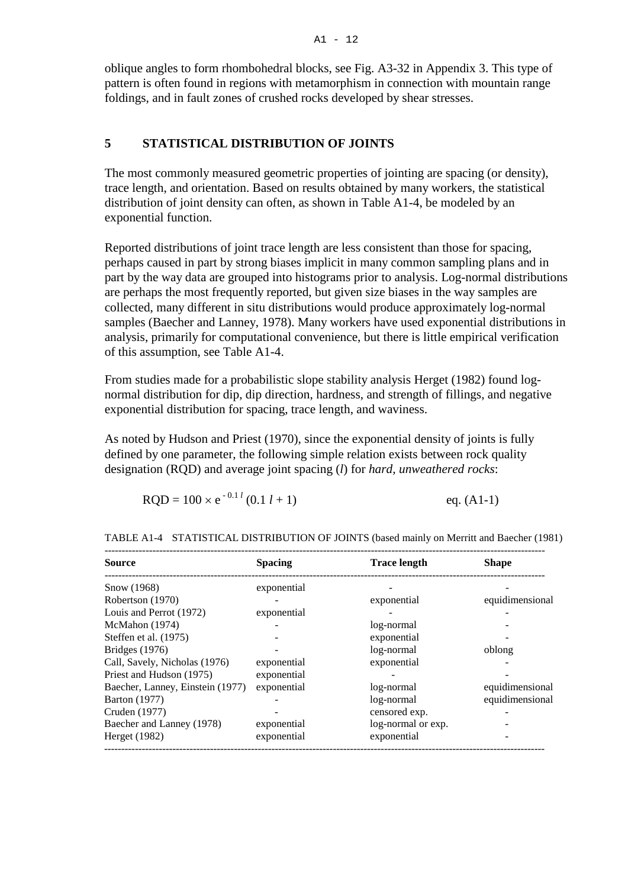oblique angles to form rhombohedral blocks, see Fig. A3-32 in Appendix 3. This type of pattern is often found in regions with metamorphism in connection with mountain range foldings, and in fault zones of crushed rocks developed by shear stresses.

#### **5 STATISTICAL DISTRIBUTION OF JOINTS**

The most commonly measured geometric properties of jointing are spacing (or density), trace length, and orientation. Based on results obtained by many workers, the statistical distribution of joint density can often, as shown in Table A1-4, be modeled by an exponential function.

Reported distributions of joint trace length are less consistent than those for spacing, perhaps caused in part by strong biases implicit in many common sampling plans and in part by the way data are grouped into histograms prior to analysis. Log-normal distributions are perhaps the most frequently reported, but given size biases in the way samples are collected, many different in situ distributions would produce approximately log-normal samples (Baecher and Lanney, 1978). Many workers have used exponential distributions in analysis, primarily for computational convenience, but there is little empirical verification of this assumption, see Table A1-4.

From studies made for a probabilistic slope stability analysis Herget (1982) found lognormal distribution for dip, dip direction, hardness, and strength of fillings, and negative exponential distribution for spacing, trace length, and waviness.

As noted by Hudson and Priest (1970), since the exponential density of joints is fully defined by one parameter, the following simple relation exists between rock quality designation (RQD) and average joint spacing (*l*) for *hard, unweathered rocks*:

$$
RQD = 100 \times e^{-0.1 l} (0.1 l + 1)
$$
eq. (A1-1)

| <b>Source</b>                    | <b>Spacing</b> | <b>Trace length</b> | <b>Shape</b>    |
|----------------------------------|----------------|---------------------|-----------------|
| Snow (1968)                      | exponential    |                     |                 |
| Robertson (1970)                 |                | exponential         | equidimensional |
| Louis and Perrot (1972)          | exponential    |                     |                 |
| McMahon $(1974)$                 |                | log-normal          |                 |
| Steffen et al. (1975)            |                | exponential         |                 |
| Bridges $(1976)$                 |                | log-normal          | oblong          |
| Call, Savely, Nicholas (1976)    | exponential    | exponential         |                 |
| Priest and Hudson (1975)         | exponential    |                     |                 |
| Baecher, Lanney, Einstein (1977) | exponential    | log-normal          | equidimensional |
| <b>Barton</b> (1977)             |                | log-normal          | equidimensional |
| Cruden (1977)                    |                | censored exp.       |                 |
| Baecher and Lanney (1978)        | exponential    | log-normal or exp.  |                 |
| Herget (1982)                    | exponential    | exponential         |                 |

TABLE A1-4 STATISTICAL DISTRIBUTION OF JOINTS (based mainly on Merritt and Baecher (1981)